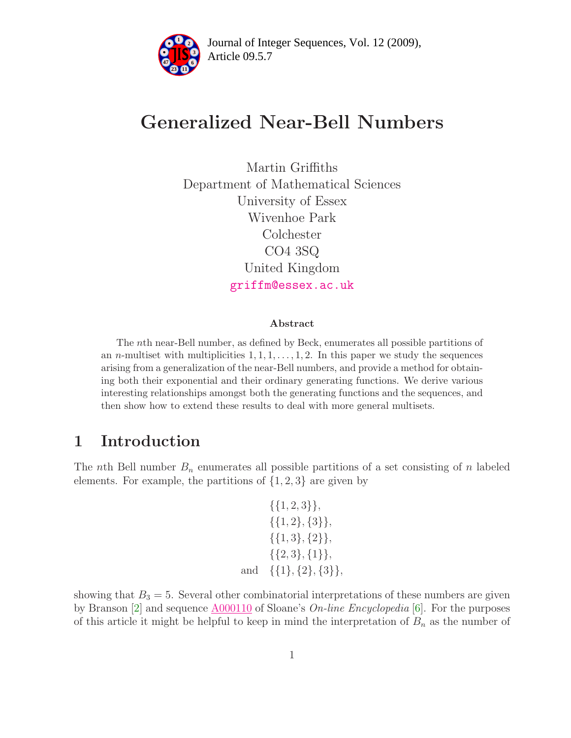

# Generalized Near-Bell Numbers

Martin Griffiths Department of Mathematical Sciences University of Essex Wivenhoe Park Colchester CO4 3SQ United Kingdom [griffm@essex.ac.uk](mailto:griffm@essex.ac.uk)

#### Abstract

The nth near-Bell number, as defined by Beck, enumerates all possible partitions of an *n*-multiset with multiplicities  $1, 1, 1, \ldots, 1, 2$ . In this paper we study the sequences arising from a generalization of the near-Bell numbers, and provide a method for obtaining both their exponential and their ordinary generating functions. We derive various interesting relationships amongst both the generating functions and the sequences, and then show how to extend these results to deal with more general multisets.

## 1 Introduction

The *n*th Bell number  $B_n$  enumerates all possible partitions of a set consisting of *n* labeled elements. For example, the partitions of  $\{1, 2, 3\}$  are given by

|     | $\{\{1,2,3\}\},\$         |
|-----|---------------------------|
|     | $\{\{1,2\},\{3\}\},\$     |
|     | $\{\{1,3\},\{2\}\},\$     |
|     | $\{\{2,3\},\{1\}\},\$     |
| and | $\{\{1\},\{2\},\{3\}\},\$ |

showing that  $B_3 = 5$ . Several other combinatorial interpretations of these numbers are given by Branson [\[2\]](#page-11-0) and sequence  $\underline{\text{A}000110}$  of Sloane's *On-line Encyclopedia* [\[6\]](#page-11-1). For the purposes of this article it might be helpful to keep in mind the interpretation of  $B_n$  as the number of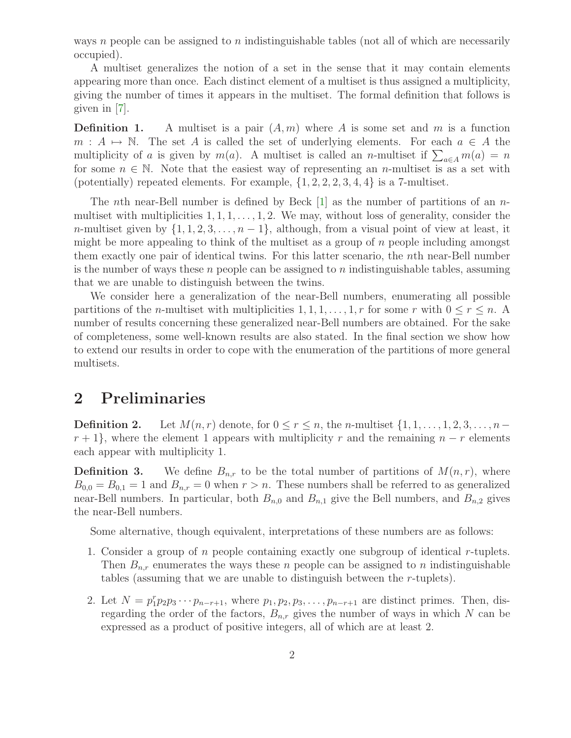ways n people can be assigned to n indistinguishable tables (not all of which are necessarily occupied).

A multiset generalizes the notion of a set in the sense that it may contain elements appearing more than once. Each distinct element of a multiset is thus assigned a multiplicity, giving the number of times it appears in the multiset. The formal definition that follows is given in [\[7\]](#page-11-2).

**Definition 1.** A multiset is a pair  $(A, m)$  where A is some set and m is a function  $m : A \mapsto \mathbb{N}$ . The set A is called the set of underlying elements. For each  $a \in A$  the multiplicity of a is given by  $m(a)$ . A multiset is called an n-multiset if  $\sum_{a \in A} m(a) = n$ for some  $n \in \mathbb{N}$ . Note that the easiest way of representing an *n*-multiset is as a set with (potentially) repeated elements. For example,  $\{1, 2, 2, 2, 3, 4, 4\}$  is a 7-multiset.

The *n*th near-Bell number is defined by Beck  $[1]$  as the number of partitions of an *n*multiset with multiplicities  $1, 1, 1, \ldots, 1, 2$ . We may, without loss of generality, consider the n-multiset given by  $\{1, 1, 2, 3, \ldots, n-1\}$ , although, from a visual point of view at least, it might be more appealing to think of the multiset as a group of n people including amongst them exactly one pair of identical twins. For this latter scenario, the nth near-Bell number is the number of ways these  $n$  people can be assigned to  $n$  indistinguishable tables, assuming that we are unable to distinguish between the twins.

We consider here a generalization of the near-Bell numbers, enumerating all possible partitions of the *n*-multiset with multiplicities  $1, 1, 1, \ldots, 1, r$  for some r with  $0 \le r \le n$ . number of results concerning these generalized near-Bell numbers are obtained. For the sake of completeness, some well-known results are also stated. In the final section we show how to extend our results in order to cope with the enumeration of the partitions of more general multisets.

### 2 Preliminaries

**Definition 2.** Let  $M(n,r)$  denote, for  $0 \leq r \leq n$ , the *n*-multiset  $\{1, 1, \ldots, 1, 2, 3, \ldots, n-\}$  $r + 1$ , where the element 1 appears with multiplicity r and the remaining  $n - r$  elements each appear with multiplicity 1.

**Definition 3.** We define  $B_{n,r}$  to be the total number of partitions of  $M(n,r)$ , where  $B_{0,0} = B_{0,1} = 1$  and  $B_{n,r} = 0$  when  $r > n$ . These numbers shall be referred to as generalized near-Bell numbers. In particular, both  $B_{n,0}$  and  $B_{n,1}$  give the Bell numbers, and  $B_{n,2}$  gives the near-Bell numbers.

Some alternative, though equivalent, interpretations of these numbers are as follows:

- 1. Consider a group of n people containing exactly one subgroup of identical r-tuplets. Then  $B_{n,r}$  enumerates the ways these n people can be assigned to n indistinguishable tables (assuming that we are unable to distinguish between the r-tuplets).
- 2. Let  $N = p_1^r p_2 p_3 \cdots p_{n-r+1}$ , where  $p_1, p_2, p_3, \ldots, p_{n-r+1}$  are distinct primes. Then, disregarding the order of the factors,  $B_{n,r}$  gives the number of ways in which N can be expressed as a product of positive integers, all of which are at least 2.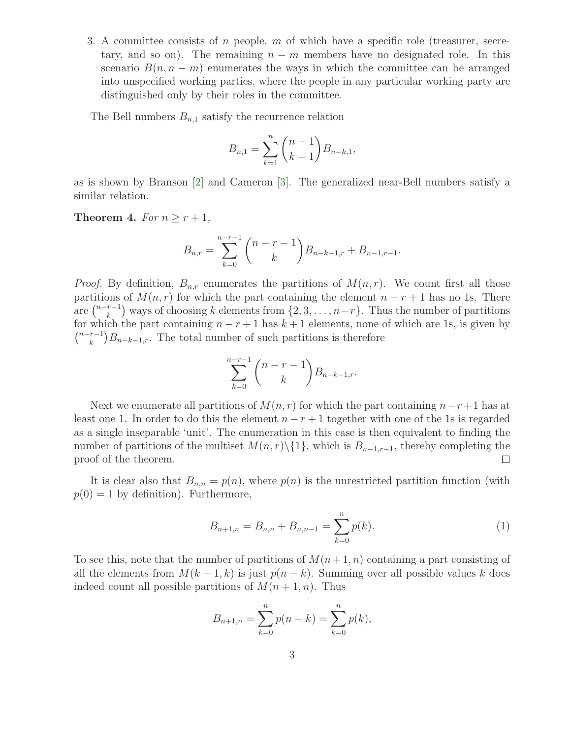3. A committee consists of n people, m of which have a specific role (treasurer, secretary, and so on). The remaining  $n - m$  members have no designated role. In this scenario  $B(n,n-m)$  enumerates the ways in which the committee can be arranged into unspecified working parties, where the people in any particular working party are distinguished only by their roles in the committee.

The Bell numbers  $B_{n,1}$  satisfy the recurrence relation

$$
B_{n,1} = \sum_{k=1}^{n} {n-1 \choose k-1} B_{n-k,1},
$$

<span id="page-2-1"></span>as is shown by Branson [\[2\]](#page-11-0) and Cameron [\[3\]](#page-11-3). The generalized near-Bell numbers satisfy a similar relation.

**Theorem 4.** For  $n \geq r+1$ ,

$$
B_{n,r} = \sum_{k=0}^{n-r-1} {n-r-1 \choose k} B_{n-k-1,r} + B_{n-1,r-1}.
$$

*Proof.* By definition,  $B_{n,r}$  enumerates the partitions of  $M(n,r)$ . We count first all those partitions of  $M(n,r)$  for which the part containing the element  $n - r + 1$  has no 1s. There are  $\binom{n-r-1}{k}$  ${k \choose k}$  ways of choosing k elements from  $\{2, 3, \ldots, n-r\}$ . Thus the number of partitions for which the part containing  $n - r + 1$  has  $k + 1$  elements, none of which are 1s, is given by  $\binom{n-r-1}{k}$  ${k-1 \choose k} B_{n-k-1,r}$ . The total number of such partitions is therefore

$$
\sum_{k=0}^{n-r-1} \binom{n-r-1}{k} B_{n-k-1,r}.
$$

Next we enumerate all partitions of  $M(n,r)$  for which the part containing  $n-r+1$  has at least one 1. In order to do this the element  $n - r + 1$  together with one of the 1s is regarded as a single inseparable 'unit'. The enumeration in this case is then equivalent to finding the number of partitions of the multiset  $M(n,r)\setminus\{1\}$ , which is  $B_{n-1,r-1}$ , thereby completing the proof of the theorem.  $\Box$ 

It is clear also that  $B_{n,n} = p(n)$ , where  $p(n)$  is the unrestricted partition function (with  $p(0) = 1$  by definition). Furthermore,

<span id="page-2-0"></span>
$$
B_{n+1,n} = B_{n,n} + B_{n,n-1} = \sum_{k=0}^{n} p(k).
$$
 (1)

To see this, note that the number of partitions of  $M(n+1,n)$  containing a part consisting of all the elements from  $M(k+1,k)$  is just  $p(n-k)$ . Summing over all possible values k does indeed count all possible partitions of  $M(n+1,n)$ . Thus

$$
B_{n+1,n} = \sum_{k=0}^{n} p(n-k) = \sum_{k=0}^{n} p(k),
$$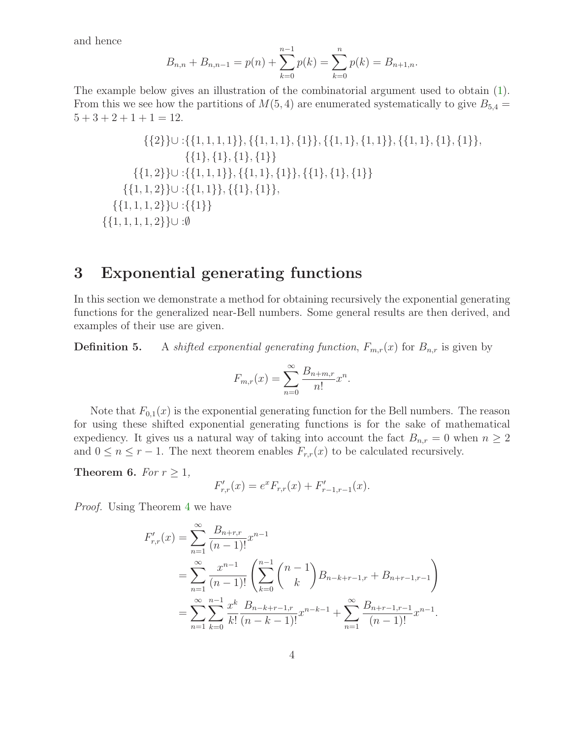and hence

$$
B_{n,n} + B_{n,n-1} = p(n) + \sum_{k=0}^{n-1} p(k) = \sum_{k=0}^{n} p(k) = B_{n+1,n}.
$$

The example below gives an illustration of the combinatorial argument used to obtain [\(1\)](#page-2-0). From this we see how the partitions of  $M(5,4)$  are enumerated systematically to give  $B_{5,4}$  =  $5 + 3 + 2 + 1 + 1 = 12.$ 

{{2}}∪ :{{1, 1, 1, 1}}, {{1, 1, 1}, {1}}, {{1, 1}, {1, 1}}, {{1, 1}, {1}, {1}}, {{1}, {1}, {1}, {1}} {{1, 2}}∪ :{{1, 1, 1}}, {{1, 1}, {1}}, {{1}, {1}, {1}} {{1, 1, 2}}∪ :{{1, 1}}, {{1}, {1}}, {{1, 1, 1, 2}}∪ :{{1}} {{1, 1, 1, 1, 2}}∪ :∅

# 3 Exponential generating functions

In this section we demonstrate a method for obtaining recursively the exponential generating functions for the generalized near-Bell numbers. Some general results are then derived, and examples of their use are given.

**Definition 5.** A shifted exponential generating function,  $F_{m,r}(x)$  for  $B_{n,r}$  is given by

$$
F_{m,r}(x) = \sum_{n=0}^{\infty} \frac{B_{n+m,r}}{n!} x^n.
$$

Note that  $F_{0,1}(x)$  is the exponential generating function for the Bell numbers. The reason for using these shifted exponential generating functions is for the sake of mathematical expediency. It gives us a natural way of taking into account the fact  $B_{n,r} = 0$  when  $n \geq 2$ and  $0 \leq n \leq r-1$ . The next theorem enables  $F_{r,r}(x)$  to be calculated recursively.

<span id="page-3-0"></span>Theorem 6. For  $r \geq 1$ ,

$$
F'_{r,r}(x) = e^x F_{r,r}(x) + F'_{r-1,r-1}(x).
$$

Proof. Using Theorem [4](#page-2-1) we have

$$
F'_{r,r}(x) = \sum_{n=1}^{\infty} \frac{B_{n+r,r}}{(n-1)!} x^{n-1}
$$
  
= 
$$
\sum_{n=1}^{\infty} \frac{x^{n-1}}{(n-1)!} \left( \sum_{k=0}^{n-1} {n-1 \choose k} B_{n-k+r-1,r} + B_{n+r-1,r-1} \right)
$$
  
= 
$$
\sum_{n=1}^{\infty} \sum_{k=0}^{n-1} \frac{x^k}{k!} \frac{B_{n-k+r-1,r}}{(n-k-1)!} x^{n-k-1} + \sum_{n=1}^{\infty} \frac{B_{n+r-1,r-1}}{(n-1)!} x^{n-1}.
$$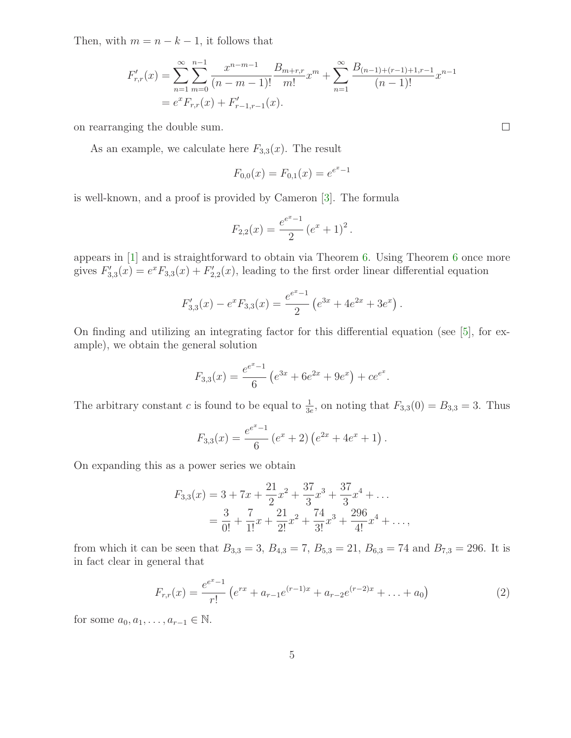Then, with  $m = n - k - 1$ , it follows that

$$
F'_{r,r}(x) = \sum_{n=1}^{\infty} \sum_{m=0}^{n-1} \frac{x^{n-m-1}}{(n-m-1)!} \frac{B_{m+r,r}}{m!} x^m + \sum_{n=1}^{\infty} \frac{B_{(n-1)+(r-1)+1,r-1}}{(n-1)!} x^{n-1}
$$
  
=  $e^x F_{r,r}(x) + F'_{r-1,r-1}(x)$ .

on rearranging the double sum.

As an example, we calculate here  $F_{3,3}(x)$ . The result

$$
F_{0,0}(x) = F_{0,1}(x) = e^{e^x - 1}
$$

is well-known, and a proof is provided by Cameron [\[3\]](#page-11-3). The formula

$$
F_{2,2}(x) = \frac{e^{e^x - 1}}{2} (e^x + 1)^2.
$$

appears in [\[1\]](#page-10-0) and is straightforward to obtain via Theorem [6.](#page-3-0) Using Theorem [6](#page-3-0) once more gives  $F_3'$  $S'_{3,3}(x) = e^x F_{3,3}(x) + F'_2$  $C_{2,2}^{\prime}(x)$ , leading to the first order linear differential equation

$$
F'_{3,3}(x) - e^x F_{3,3}(x) = \frac{e^{e^x - 1}}{2} \left( e^{3x} + 4e^{2x} + 3e^x \right).
$$

On finding and utilizing an integrating factor for this differential equation (see [\[5\]](#page-11-4), for example), we obtain the general solution

$$
F_{3,3}(x) = \frac{e^{e^x - 1}}{6} \left( e^{3x} + 6e^{2x} + 9e^x \right) + ce^{e^x}.
$$

The arbitrary constant c is found to be equal to  $\frac{1}{3e}$ , on noting that  $F_{3,3}(0) = B_{3,3} = 3$ . Thus

$$
F_{3,3}(x) = \frac{e^{e^x - 1}}{6} \left(e^x + 2\right) \left(e^{2x} + 4e^x + 1\right).
$$

On expanding this as a power series we obtain

$$
F_{3,3}(x) = 3 + 7x + \frac{21}{2}x^2 + \frac{37}{3}x^3 + \frac{37}{3}x^4 + \dots
$$
  
=  $\frac{3}{0!} + \frac{7}{1!}x + \frac{21}{2!}x^2 + \frac{74}{3!}x^3 + \frac{296}{4!}x^4 + \dots$ 

from which it can be seen that  $B_{3,3} = 3$ ,  $B_{4,3} = 7$ ,  $B_{5,3} = 21$ ,  $B_{6,3} = 74$  and  $B_{7,3} = 296$ . It is in fact clear in general that

<span id="page-4-0"></span>
$$
F_{r,r}(x) = \frac{e^{e^x - 1}}{r!} \left( e^{rx} + a_{r-1} e^{(r-1)x} + a_{r-2} e^{(r-2)x} + \dots + a_0 \right)
$$
 (2)

for some  $a_0, a_1, \ldots, a_{r-1} \in \mathbb{N}$ .

 $\Box$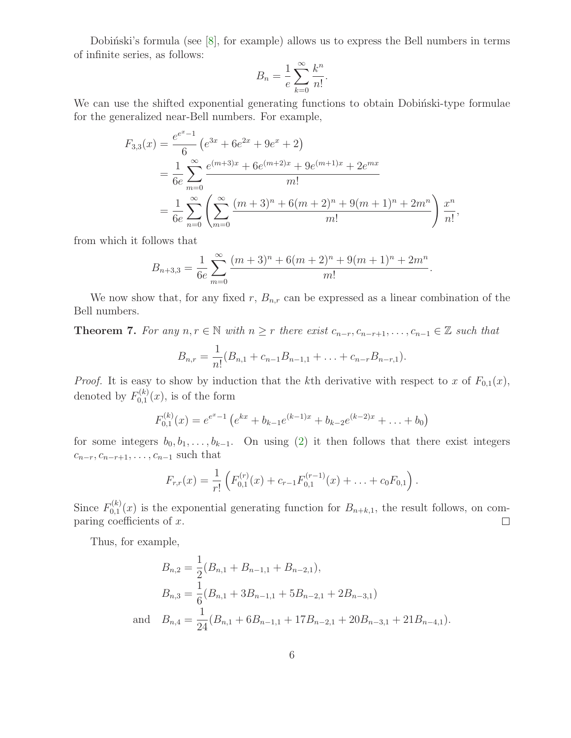Dobinski's formula (see  $[8]$ , for example) allows us to express the Bell numbers in terms of infinite series, as follows:

$$
B_n = \frac{1}{e} \sum_{k=0}^{\infty} \frac{k^n}{n!}.
$$

We can use the shifted exponential generating functions to obtain Dobinski-type formulae for the generalized near-Bell numbers. For example,

$$
F_{3,3}(x) = \frac{e^{e^x - 1}}{6} \left( e^{3x} + 6e^{2x} + 9e^x + 2 \right)
$$
  
=  $\frac{1}{6e} \sum_{m=0}^{\infty} \frac{e^{(m+3)x} + 6e^{(m+2)x} + 9e^{(m+1)x} + 2e^{mx}}{m!}$   
=  $\frac{1}{6e} \sum_{n=0}^{\infty} \left( \sum_{m=0}^{\infty} \frac{(m+3)^n + 6(m+2)^n + 9(m+1)^n + 2m^n}{m!} \right) \frac{x^n}{n!},$ 

from which it follows that

$$
B_{n+3,3} = \frac{1}{6e} \sum_{m=0}^{\infty} \frac{(m+3)^n + 6(m+2)^n + 9(m+1)^n + 2m^n}{m!}.
$$

We now show that, for any fixed r,  $B_{n,r}$  can be expressed as a linear combination of the Bell numbers.

**Theorem 7.** For any  $n, r \in \mathbb{N}$  with  $n \geq r$  there exist  $c_{n-r}, c_{n-r+1}, \ldots, c_{n-1} \in \mathbb{Z}$  such that

$$
B_{n,r} = \frac{1}{n!} (B_{n,1} + c_{n-1}B_{n-1,1} + \ldots + c_{n-r}B_{n-r,1}).
$$

*Proof.* It is easy to show by induction that the kth derivative with respect to x of  $F_{0,1}(x)$ , denoted by  $F_{0,1}^{(k)}$  $C_{0,1}^{(\kappa)}(x)$ , is of the form

$$
F_{0,1}^{(k)}(x) = e^{e^x - 1} \left( e^{kx} + b_{k-1} e^{(k-1)x} + b_{k-2} e^{(k-2)x} + \ldots + b_0 \right)
$$

for some integers  $b_0, b_1, \ldots, b_{k-1}$ . On using [\(2\)](#page-4-0) it then follows that there exist integers  $c_{n-r}, c_{n-r+1}, \ldots, c_{n-1}$  such that

$$
F_{r,r}(x) = \frac{1}{r!} \left( F_{0,1}^{(r)}(x) + c_{r-1} F_{0,1}^{(r-1)}(x) + \ldots + c_0 F_{0,1} \right).
$$

Since  $F_{0,1}^{(k)}$  $\mathcal{O}_{0,1}^{(k)}(x)$  is the exponential generating function for  $B_{n+k,1}$ , the result follows, on comparing coefficients of  $x$ .  $\Box$ 

Thus, for example,

$$
B_{n,2} = \frac{1}{2}(B_{n,1} + B_{n-1,1} + B_{n-2,1}),
$$
  
\n
$$
B_{n,3} = \frac{1}{6}(B_{n,1} + 3B_{n-1,1} + 5B_{n-2,1} + 2B_{n-3,1})
$$
  
\nand 
$$
B_{n,4} = \frac{1}{24}(B_{n,1} + 6B_{n-1,1} + 17B_{n-2,1} + 20B_{n-3,1} + 21B_{n-4,1}).
$$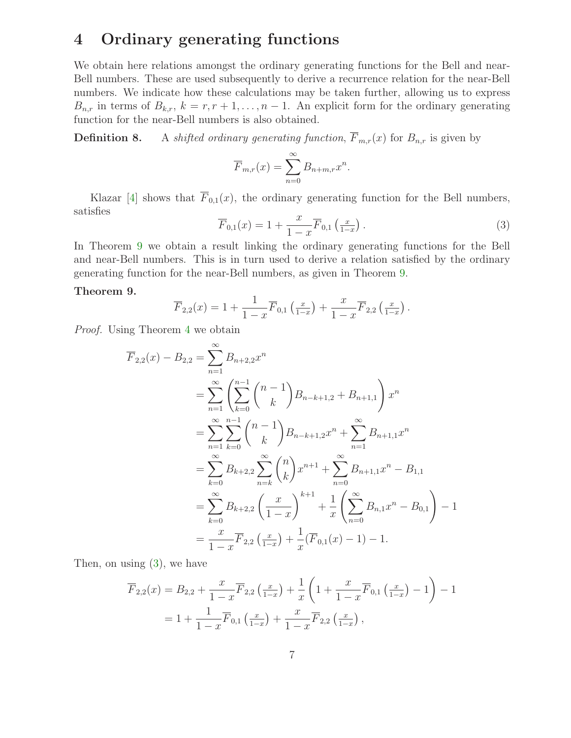# 4 Ordinary generating functions

We obtain here relations amongst the ordinary generating functions for the Bell and near-Bell numbers. These are used subsequently to derive a recurrence relation for the near-Bell numbers. We indicate how these calculations may be taken further, allowing us to express  $B_{n,r}$  in terms of  $B_{k,r}$ ,  $k = r, r + 1, \ldots, n - 1$ . An explicit form for the ordinary generating function for the near-Bell numbers is also obtained.

**Definition 8.** A shifted ordinary generating function,  $\overline{F}_{m,r}(x)$  for  $B_{n,r}$  is given by

$$
\overline{F}_{m,r}(x) = \sum_{n=0}^{\infty} B_{n+m,r} x^n.
$$

<span id="page-6-1"></span>Klazar [\[4\]](#page-11-6) shows that  $\overline{F}_{0,1}(x)$ , the ordinary generating function for the Bell numbers, satisfies

$$
\overline{F}_{0,1}(x) = 1 + \frac{x}{1-x} \overline{F}_{0,1}\left(\frac{x}{1-x}\right). \tag{3}
$$

In Theorem [9](#page-6-0) we obtain a result linking the ordinary generating functions for the Bell and near-Bell numbers. This is in turn used to derive a relation satisfied by the ordinary generating function for the near-Bell numbers, as given in Theorem [9.](#page-6-0)

#### <span id="page-6-0"></span>Theorem 9.

$$
\overline{F}_{2,2}(x) = 1 + \frac{1}{1-x}\overline{F}_{0,1}\left(\frac{x}{1-x}\right) + \frac{x}{1-x}\overline{F}_{2,2}\left(\frac{x}{1-x}\right).
$$

Proof. Using Theorem [4](#page-2-1) we obtain

$$
\overline{F}_{2,2}(x) - B_{2,2} = \sum_{n=1}^{\infty} B_{n+2,2} x^n
$$
\n
$$
= \sum_{n=1}^{\infty} \left( \sum_{k=0}^{n-1} {n-1 \choose k} B_{n-k+1,2} + B_{n+1,1} \right) x^n
$$
\n
$$
= \sum_{n=1}^{\infty} \sum_{k=0}^{n-1} {n-1 \choose k} B_{n-k+1,2} x^n + \sum_{n=1}^{\infty} B_{n+1,1} x^n
$$
\n
$$
= \sum_{k=0}^{\infty} B_{k+2,2} \sum_{n=k}^{\infty} {n \choose k} x^{n+1} + \sum_{n=0}^{\infty} B_{n+1,1} x^n - B_{1,1}
$$
\n
$$
= \sum_{k=0}^{\infty} B_{k+2,2} \left( \frac{x}{1-x} \right)^{k+1} + \frac{1}{x} \left( \sum_{n=0}^{\infty} B_{n,1} x^n - B_{0,1} \right) - 1
$$
\n
$$
= \frac{x}{1-x} \overline{F}_{2,2} \left( \frac{x}{1-x} \right) + \frac{1}{x} (\overline{F}_{0,1}(x) - 1) - 1.
$$

Then, on using [\(3\)](#page-6-1), we have

$$
\overline{F}_{2,2}(x) = B_{2,2} + \frac{x}{1-x} \overline{F}_{2,2} \left( \frac{x}{1-x} \right) + \frac{1}{x} \left( 1 + \frac{x}{1-x} \overline{F}_{0,1} \left( \frac{x}{1-x} \right) - 1 \right) - 1
$$
  
=  $1 + \frac{1}{1-x} \overline{F}_{0,1} \left( \frac{x}{1-x} \right) + \frac{x}{1-x} \overline{F}_{2,2} \left( \frac{x}{1-x} \right),$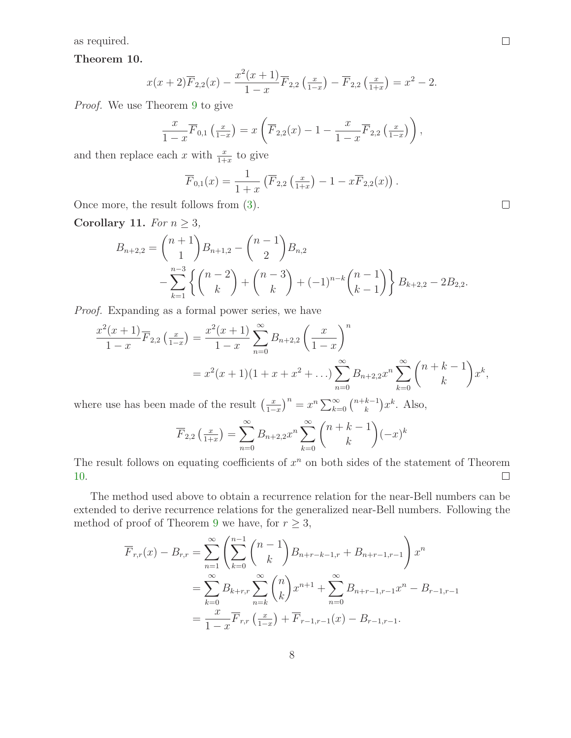<span id="page-7-0"></span>as required.

Theorem 10.

$$
x(x+2)\overline{F}_{2,2}(x) - \frac{x^2(x+1)}{1-x}\overline{F}_{2,2}\left(\frac{x}{1-x}\right) - \overline{F}_{2,2}\left(\frac{x}{1+x}\right) = x^2 - 2.
$$

Proof. We use Theorem [9](#page-6-0) to give

$$
\frac{x}{1-x}\overline{F}_{0,1}\left(\frac{x}{1-x}\right) = x\left(\overline{F}_{2,2}(x) - 1 - \frac{x}{1-x}\overline{F}_{2,2}\left(\frac{x}{1-x}\right)\right),
$$

and then replace each x with  $\frac{x}{1+x}$  to give

$$
\overline{F}_{0,1}(x) = \frac{1}{1+x} \left( \overline{F}_{2,2} \left( \frac{x}{1+x} \right) - 1 - x \overline{F}_{2,2}(x) \right)
$$

.

Once more, the result follows from [\(3\)](#page-6-1).

Corollary 11. For  $n \geq 3$ ,

$$
B_{n+2,2} = {n+1 \choose 1} B_{n+1,2} - {n-1 \choose 2} B_{n,2}
$$
  
 
$$
- \sum_{k=1}^{n-3} \left\{ {n-2 \choose k} + {n-3 \choose k} + (-1)^{n-k} {n-1 \choose k-1} \right\} B_{k+2,2} - 2B_{2,2}.
$$

Proof. Expanding as a formal power series, we have

$$
\frac{x^2(x+1)}{1-x}\overline{F}_{2,2}\left(\frac{x}{1-x}\right) = \frac{x^2(x+1)}{1-x}\sum_{n=0}^{\infty}B_{n+2,2}\left(\frac{x}{1-x}\right)^n
$$
  
=  $x^2(x+1)(1+x+x^2+\ldots)\sum_{n=0}^{\infty}B_{n+2,2}x^n\sum_{k=0}^{\infty}\binom{n+k-1}{k}x^k$ ,

where use has been made of the result  $\left(\frac{x}{1-x}\right)^n = x^n \sum_{k=0}^{\infty} \binom{n+k-1}{k}$  ${k-1 \choose k} x^k$ . Also,

$$
\overline{F}_{2,2}\left(\frac{x}{1+x}\right) = \sum_{n=0}^{\infty} B_{n+2,2} x^n \sum_{k=0}^{\infty} {n+k-1 \choose k} (-x)^k
$$

The result follows on equating coefficients of  $x^n$  on both sides of the statement of Theorem [10.](#page-7-0)  $\Box$ 

The method used above to obtain a recurrence relation for the near-Bell numbers can be extended to derive recurrence relations for the generalized near-Bell numbers. Following the method of proof of Theorem [9](#page-6-0) we have, for  $r \geq 3$ ,

$$
\overline{F}_{r,r}(x) - B_{r,r} = \sum_{n=1}^{\infty} \left( \sum_{k=0}^{n-1} {n-1 \choose k} B_{n+r-k-1,r} + B_{n+r-1,r-1} \right) x^n
$$
  
\n
$$
= \sum_{k=0}^{\infty} B_{k+r,r} \sum_{n=k}^{\infty} {n \choose k} x^{n+1} + \sum_{n=0}^{\infty} B_{n+r-1,r-1} x^n - B_{r-1,r-1}
$$
  
\n
$$
= \frac{x}{1-x} \overline{F}_{r,r} \left( \frac{x}{1-x} \right) + \overline{F}_{r-1,r-1}(x) - B_{r-1,r-1}.
$$

 $\Box$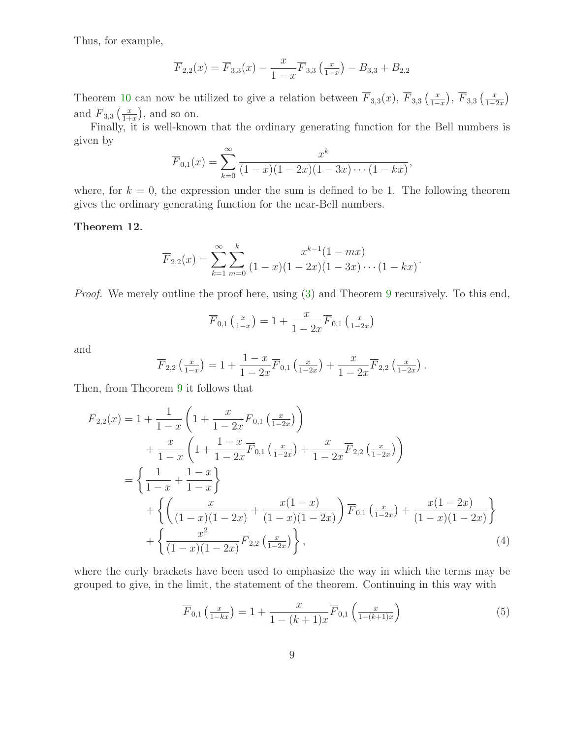Thus, for example,

$$
\overline{F}_{2,2}(x) = \overline{F}_{3,3}(x) - \frac{x}{1-x} \overline{F}_{3,3}\left(\frac{x}{1-x}\right) - B_{3,3} + B_{2,2}
$$

Theorem [10](#page-7-0) can now be utilized to give a relation between  $\overline{F}_{3,3}(x)$ ,  $\overline{F}_{3,3}\left(\frac{x}{1-x}\right)$ ,  $\overline{F}_{3,3}\left(\frac{x}{1-2x}\right)$ and  $\overline{F}_{3,3}\left(\frac{x}{1+}\right)$  $\frac{x}{1+x}$ , and so on.

Finally, it is well-known that the ordinary generating function for the Bell numbers is given by

$$
\overline{F}_{0,1}(x) = \sum_{k=0}^{\infty} \frac{x^k}{(1-x)(1-2x)(1-3x)\cdots(1-kx)},
$$

where, for  $k = 0$ , the expression under the sum is defined to be 1. The following theorem gives the ordinary generating function for the near-Bell numbers.

#### Theorem 12.

$$
\overline{F}_{2,2}(x) = \sum_{k=1}^{\infty} \sum_{m=0}^{k} \frac{x^{k-1}(1-mx)}{(1-x)(1-2x)(1-3x)\cdots(1-kx)}.
$$

Proof. We merely outline the proof here, using [\(3\)](#page-6-1) and Theorem [9](#page-6-0) recursively. To this end,

$$
\overline{F}_{0,1}\left(\frac{x}{1-x}\right) = 1 + \frac{x}{1-2x} \overline{F}_{0,1}\left(\frac{x}{1-2x}\right)
$$

and

$$
\overline{F}_{2,2}\left(\frac{x}{1-x}\right) = 1 + \frac{1-x}{1-2x}\overline{F}_{0,1}\left(\frac{x}{1-2x}\right) + \frac{x}{1-2x}\overline{F}_{2,2}\left(\frac{x}{1-2x}\right).
$$

Then, from Theorem [9](#page-6-0) it follows that

$$
\overline{F}_{2,2}(x) = 1 + \frac{1}{1-x} \left( 1 + \frac{x}{1-2x} \overline{F}_{0,1} \left( \frac{x}{1-2x} \right) \right) \n+ \frac{x}{1-x} \left( 1 + \frac{1-x}{1-2x} \overline{F}_{0,1} \left( \frac{x}{1-2x} \right) + \frac{x}{1-2x} \overline{F}_{2,2} \left( \frac{x}{1-2x} \right) \right) \n= \left\{ \frac{1}{1-x} + \frac{1-x}{1-x} \right\} \n+ \left\{ \left( \frac{x}{(1-x)(1-2x)} + \frac{x(1-x)}{(1-x)(1-2x)} \right) \overline{F}_{0,1} \left( \frac{x}{1-2x} \right) + \frac{x(1-2x)}{(1-x)(1-2x)} \right\} \n+ \left\{ \frac{x^2}{(1-x)(1-2x)} \overline{F}_{2,2} \left( \frac{x}{1-2x} \right) \right\},
$$
\n(4)

where the curly brackets have been used to emphasize the way in which the terms may be grouped to give, in the limit, the statement of the theorem. Continuing in this way with

<span id="page-8-1"></span><span id="page-8-0"></span>
$$
\overline{F}_{0,1}\left(\frac{x}{1-kx}\right) = 1 + \frac{x}{1-(k+1)x} \overline{F}_{0,1}\left(\frac{x}{1-(k+1)x}\right)
$$
(5)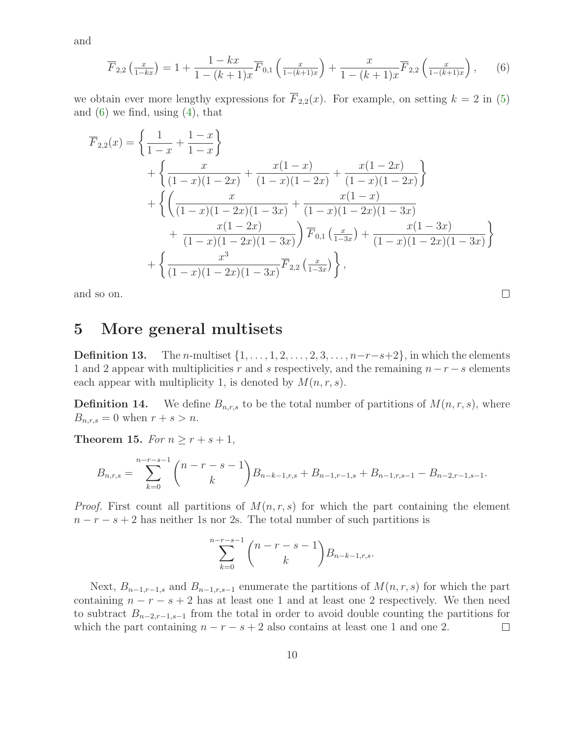<span id="page-9-0"></span>and

$$
\overline{F}_{2,2}\left(\frac{x}{1-kx}\right) = 1 + \frac{1-kx}{1-(k+1)x}\overline{F}_{0,1}\left(\frac{x}{1-(k+1)x}\right) + \frac{x}{1-(k+1)x}\overline{F}_{2,2}\left(\frac{x}{1-(k+1)x}\right),\tag{6}
$$

we obtain ever more lengthy expressions for  $\overline{F}_{2,2}(x)$ . For example, on setting  $k = 2$  in [\(5\)](#page-8-0) and  $(6)$  we find, using  $(4)$ , that

$$
\overline{F}_{2,2}(x) = \left\{ \frac{1}{1-x} + \frac{1-x}{1-x} \right\} \n+ \left\{ \frac{x}{(1-x)(1-2x)} + \frac{x(1-x)}{(1-x)(1-2x)} + \frac{x(1-2x)}{(1-x)(1-2x)} \right\} \n+ \left\{ \left( \frac{x}{(1-x)(1-2x)(1-3x)} + \frac{x(1-x)}{(1-x)(1-2x)(1-3x)} \right. \n+ \frac{x(1-2x)}{(1-x)(1-2x)(1-3x)} \right\} \overline{F}_{0,1} \left( \frac{x}{1-3x} \right) + \frac{x(1-3x)}{(1-x)(1-2x)(1-3x)} \left. \right\} \n+ \left\{ \frac{x^3}{(1-x)(1-2x)(1-3x)} \overline{F}_{2,2} \left( \frac{x}{1-3x} \right) \right\},
$$

and so on.

### 5 More general multisets

<span id="page-9-2"></span>**Definition 13.** The *n*-multiset  $\{1,\ldots,1,2,\ldots,2,3,\ldots,n-r-s+2\}$ , in which the elements 1 and 2 appear with multiplicities r and s respectively, and the remaining  $n-r-s$  elements each appear with multiplicity 1, is denoted by  $M(n, r, s)$ .

 $\Box$ 

<span id="page-9-3"></span>**Definition 14.** We define  $B_{n,r,s}$  to be the total number of partitions of  $M(n,r,s)$ , where  $B_{n,r,s} = 0$  when  $r + s > n$ .

<span id="page-9-1"></span>Theorem 15. For  $n \geq r + s + 1$ ,

$$
B_{n,r,s} = \sum_{k=0}^{n-r-s-1} {n-r-s-1 \choose k} B_{n-k-1,r,s} + B_{n-1,r-1,s} + B_{n-1,r,s-1} - B_{n-2,r-1,s-1}.
$$

*Proof.* First count all partitions of  $M(n, r, s)$  for which the part containing the element  $n - r - s + 2$  has neither 1s nor 2s. The total number of such partitions is

$$
\sum_{k=0}^{n-r-s-1} \binom{n-r-s-1}{k} B_{n-k-1,r,s}.
$$

Next,  $B_{n-1,r-1,s}$  and  $B_{n-1,r,s-1}$  enumerate the partitions of  $M(n,r,s)$  for which the part containing  $n - r - s + 2$  has at least one 1 and at least one 2 respectively. We then need to subtract  $B_{n-2,r-1,s-1}$  from the total in order to avoid double counting the partitions for which the part containing  $n - r - s + 2$  also contains at least one 1 and one 2.  $\Box$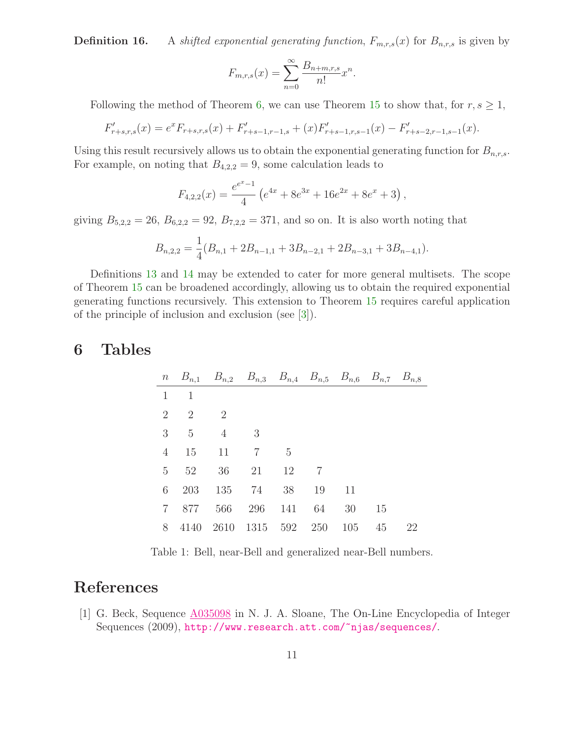**Definition 16.** A shifted exponential generating function,  $F_{m,r,s}(x)$  for  $B_{n,r,s}$  is given by

$$
F_{m,r,s}(x) = \sum_{n=0}^{\infty} \frac{B_{n+m,r,s}}{n!} x^n.
$$

Following the method of Theorem [6,](#page-3-0) we can use Theorem [15](#page-9-1) to show that, for  $r, s \geq 1$ ,

$$
F'_{r+s,r,s}(x) = e^x F_{r+s,r,s}(x) + F'_{r+s-1,r-1,s} + (x) F'_{r+s-1,r,s-1}(x) - F'_{r+s-2,r-1,s-1}(x).
$$

Using this result recursively allows us to obtain the exponential generating function for  $B_{n,r,s}$ . For example, on noting that  $B_{4,2,2} = 9$ , some calculation leads to

$$
F_{4,2,2}(x) = \frac{e^{x}-1}{4} \left( e^{4x} + 8e^{3x} + 16e^{2x} + 8e^x + 3 \right),
$$

giving  $B_{5,2,2} = 26$ ,  $B_{6,2,2} = 92$ ,  $B_{7,2,2} = 371$ , and so on. It is also worth noting that

$$
B_{n,2,2} = \frac{1}{4}(B_{n,1} + 2B_{n-1,1} + 3B_{n-2,1} + 2B_{n-3,1} + 3B_{n-4,1}).
$$

Definitions [13](#page-9-2) and [14](#page-9-3) may be extended to cater for more general multisets. The scope of Theorem [15](#page-9-1) can be broadened accordingly, allowing us to obtain the required exponential generating functions recursively. This extension to Theorem [15](#page-9-1) requires careful application of the principle of inclusion and exclusion (see [\[3\]](#page-11-3)).

### 6 Tables

|                | <i>n</i> $B_{n,1}$ $B_{n,2}$ $B_{n,3}$ $B_{n,4}$ $B_{n,5}$ $B_{n,6}$ $B_{n,7}$ $B_{n,8}$ |                |                        |     |                |       |    |    |
|----------------|------------------------------------------------------------------------------------------|----------------|------------------------|-----|----------------|-------|----|----|
| 1              | -1                                                                                       |                |                        |     |                |       |    |    |
|                | 2 2                                                                                      | $\overline{2}$ |                        |     |                |       |    |    |
| 3              | $-5$                                                                                     | $\overline{4}$ | 3                      |     |                |       |    |    |
| 4              | 15                                                                                       | 11             | 7                      | - 5 |                |       |    |    |
| 5              | 52 36 21 12                                                                              |                |                        |     | $\overline{7}$ |       |    |    |
| 6              | 203                                                                                      |                | 135 74 38              |     | 19 11          |       |    |    |
| $\overline{7}$ | 877                                                                                      |                | 566 296 141            |     |                | 64 30 | 15 |    |
| 8              |                                                                                          |                | 4140 2610 1315 592 250 |     |                | 105   | 45 | 22 |

Table 1: Bell, near-Bell and generalized near-Bell numbers.

# <span id="page-10-0"></span>References

[1] G. Beck, Sequence [A035098](http://www.research.att.com/cgi-bin/access.cgi/as/~njas/sequences/eisA.cgi?Anum=A035098) in N. J. A. Sloane, The On-Line Encyclopedia of Integer Sequences (2009), <http://www.research.att.com/~njas/sequences/>.